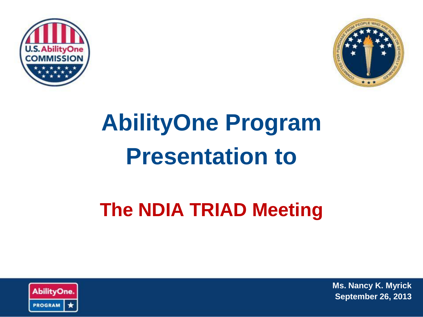



# **AbilityOne Program Presentation to**

# **The NDIA TRIAD Meeting**



**Ms. Nancy K. Myrick September 26, 2013**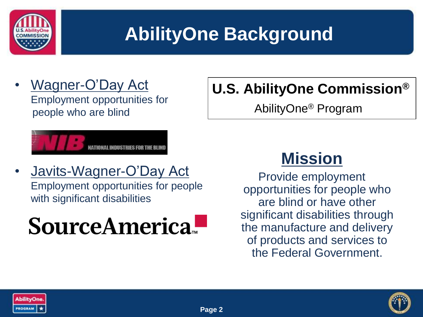

### **AbilityOne Background**

• Wagner-O'Day Act Employment opportunities for people who are blind

#### **U.S. AbilityOne Commission®**

AbilityOne® Program



• Javits-Wagner-O'Day Act Employment opportunities for people with significant disabilities

# SourceAmerica.

#### **Mission**

Provide employment opportunities for people who are blind or have other significant disabilities through the manufacture and delivery of products and services to the Federal Government.



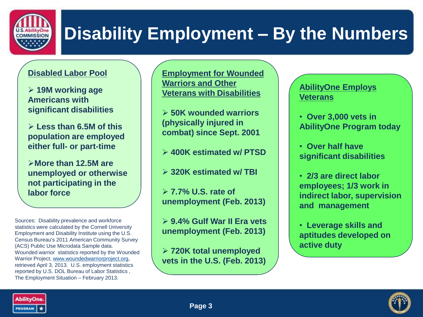

### **Disability Employment – By the Numbers**

#### **Disabled Labor Pool**

 **19M working age Americans with significant disabilities** 

 **Less than 6.5M of this population are employed either full- or part-time**

**More than 12.5M are unemployed or otherwise not participating in the labor force**

Sources: Disability prevalence and workforce statistics were calculated by the Cornell University Employment and Disability Institute using the U.S. Census Bureau's 2011 American Community Survey (ACS) Public Use Microdata Sample data. Wounded warrior statistics reported by the Wounded Warrior Project, [www.woundedwarriorproject.org,](http://www.woundedwarriorproject.org/) retrieved April 3, 2013. U.S. employment statistics reported by U.S. DOL Bureau of Labor Statistics , The Employment Situation – February 2013.

**Employment for Wounded Warriors and Other Veterans with Disabilities**

 **50K wounded warriors (physically injured in combat) since Sept. 2001**

**400K estimated w/ PTSD**

**320K estimated w/ TBI**

 **7.7% U.S. rate of unemployment (Feb. 2013)**

 **9.4% Gulf War II Era vets unemployment (Feb. 2013)**

 **720K total unemployed vets in the U.S. (Feb. 2013)**

#### **AbilityOne Employs Veterans**

- • **Over 3,000 vets in AbilityOne Program today**
- • **Over half have significant disabilities**
- • **2/3 are direct labor employees; 1/3 work in indirect labor, supervision and management**
- • **Leverage skills and aptitudes developed on active duty**



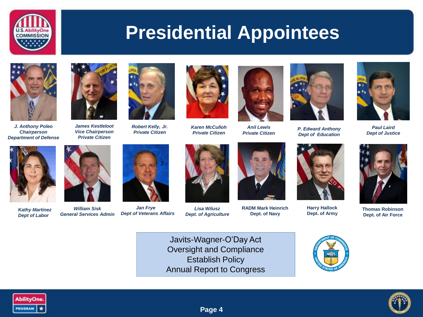

#### **Presidential Appointees**



*J. Anthony Poleo Chairperson Department of Defense*



*James Kestleloot Vice Chairperson Private Citizen*



*Robert Kelly, Jr. Private Citizen*



*Karen McCulloh Private Citizen*



*Anil Lewis Private Citizen*



*P. Edward Anthony Dept of Education*



*Paul Laird Dept of Justice*



*Kathy Martinez Dept of Labor*



*William Sisk General Services Admin*



*Jan Frye Dept of Veterans Affairs*





*Lisa Wilusz Dept. of Agriculture*



**RADM Mark Heinrich Dept. of Navy**



**Harry Hallock Dept. of Army**



**Thomas Robinson Dept. of Air Force**

Javits-Wagner-O'Day Act Oversight and Compliance Establish Policy Annual Report to Congress







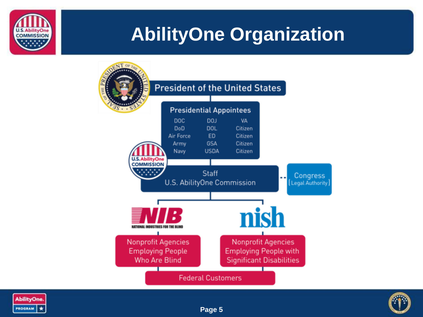

### **AbilityOne Organization**





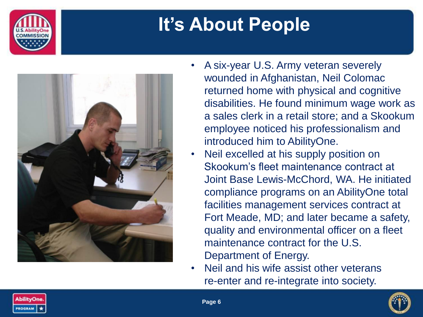

# **It's About People**



- A six-year U.S. Army veteran severely wounded in Afghanistan, Neil Colomac returned home with physical and cognitive disabilities. He found minimum wage work as a sales clerk in a retail store; and a Skookum employee noticed his professionalism and introduced him to AbilityOne.
- Neil excelled at his supply position on Skookum's fleet maintenance contract at Joint Base Lewis-McChord, WA. He initiated compliance programs on an AbilityOne total facilities management services contract at Fort Meade, MD; and later became a safety, quality and environmental officer on a fleet maintenance contract for the U.S. Department of Energy.
- Neil and his wife assist other veterans re-enter and re-integrate into society.



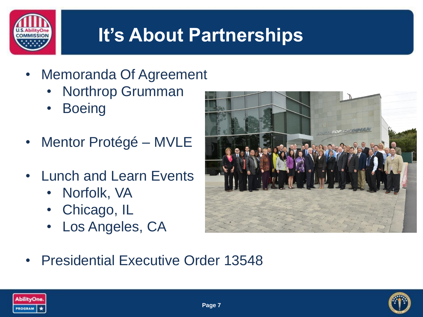

# **It's About Partnerships**

- Memoranda Of Agreement
	- Northrop Grumman
	- Boeing
- Mentor Protégé MVLE
- Lunch and Learn Events
	- Norfolk, VA
	- Chicago, IL
	- Los Angeles, CA



• Presidential Executive Order 13548



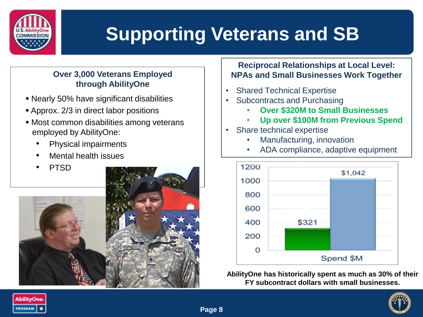

# **Supporting Veterans and SB**

#### **Over 3,000 Veterans Employed through AbilityOne**

- Nearly 50% have significant disabilities
- Approx. 2/3 in direct labor positions
- Most common disabilities among veterans employed by AbilityOne:
	- Physical impairments
	- Mental health issues
	- PTSD



#### **Reciprocal Relationships at Local Level: NPAs and Small Businesses Work Together**

- **Shared Technical Expertise**
- Subcontracts and Purchasing
	- **Over \$320M to Small Businesses**
	- **Up over \$100M from Previous Spend**
	- Share technical expertise
		- Manufacturing, innovation
		- ADA compliance, adaptive equipment



**AbilityOne has historically spent as much as 30% of their FY subcontract dollars with small businesses.**

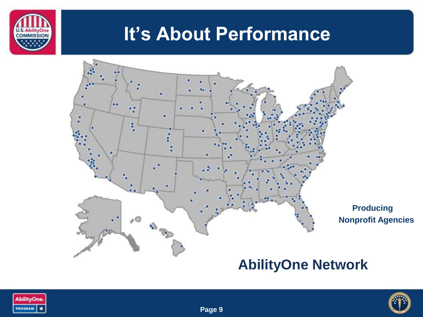

### **It's About Performance**







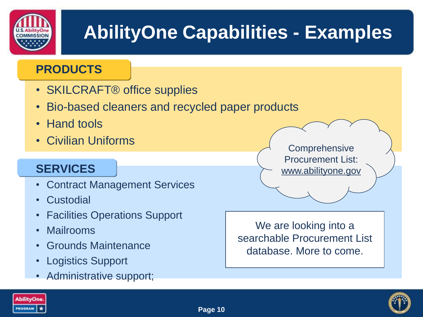

# **AbilityOne Capabilities - Examples**

#### **PRODUCTS**

- SKILCRAFT® office supplies
- Bio-based cleaners and recycled paper products
- Hand tools
- Civilian Uniforms

#### **SERVICES**

- Contract Management Services
- Custodial
- Facilities Operations Support
- Mailrooms
- Grounds Maintenance
- Logistics Support
- Administrative support;

**Comprehensive** Procurement List: www.abilityone.gov

We are looking into a searchable Procurement List database. More to come.



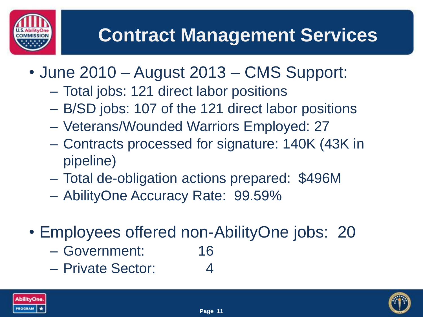# **Contract Management Services**

- June 2010 August 2013 CMS Support:
	- Total jobs: 121 direct labor positions
	- B/SD jobs: 107 of the 121 direct labor positions
	- Veterans/Wounded Warriors Employed: 27
	- Contracts processed for signature: 140K (43K in pipeline)
	- Total de-obligation actions prepared: \$496M
	- AbilityOne Accuracy Rate: 99.59%
- Employees offered non-AbilityOne jobs: 20
	- Government: 16
	- Private Sector: 4



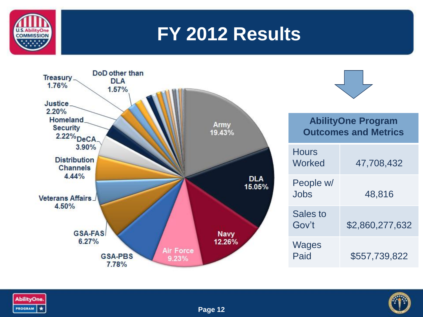

### **FY 2012 Results**





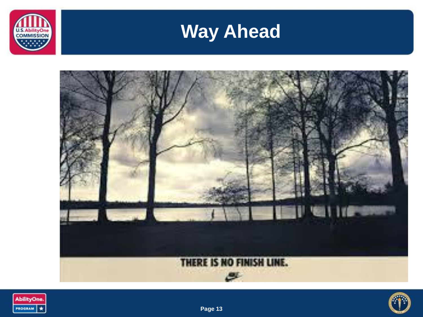